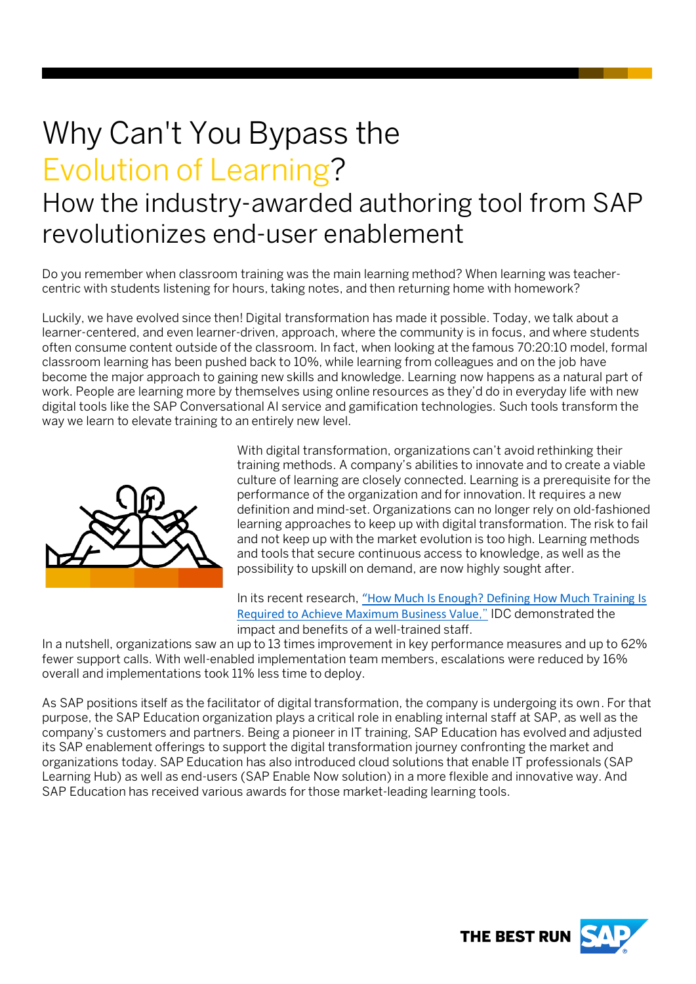# Why Can't You Bypass the Evolution of Learning?

## How the industry-awarded authoring tool from SAP revolutionizes end-user enablement

Do you remember when classroom training was the main learning method? When learning was teachercentric with students listening for hours, taking notes, and then returning home with homework?

Luckily, we have evolved since then! Digital transformation has made it possible. Today, we talk about a learner-centered, and even learner-driven, approach, where the community is in focus, and where students often consume content outside of the classroom. In fact, when looking at the famous 70:20:10 model, formal classroom learning has been pushed back to 10%, while learning from colleagues and on the job have become the major approach to gaining new skills and knowledge. Learning now happens as a natural part of work. People are learning more by themselves using online resources as they'd do in everyday life with new digital tools like the SAP Conversational AI service and gamification technologies. Such tools transform the way we learn to elevate training to an entirely new level.



With digital transformation, organizations can't avoid rethinking their training methods. A company's abilities to innovate and to create a viable culture of learning are closely connected. Learning is a prerequisite for the performance of the organization and for innovation. It requires a new definition and mind-set. Organizations can no longer rely on old-fashioned learning approaches to keep up with digital transformation. The risk to fail and not keep up with the market evolution is too high. Learning methods and tools that secure continuous access to knowledge, as well as the possibility to upskill on demand, are now highly sought after.

In its recent research, "How Much Is Enough? Defining How Much Training Is [Required to Achieve Maximum Business Value](https://www.sap.com/documents/2018/08/34b08580-157d-0010-87a3-c30de2ffd8ff.html)," IDC demonstrated the impact and benefits of a well-trained staff.

In a nutshell, organizations saw an up to 13 times improvement in key performance measures and up to 62% fewer support calls. With well-enabled implementation team members, escalations were reduced by 16% overall and implementations took 11% less time to deploy.

As SAP positions itself as the facilitator of digital transformation, the company is undergoing its own. For that purpose, the SAP Education organization plays a critical role in enabling internal staff at SAP, as well as the company's customers and partners. Being a pioneer in IT training, SAP Education has evolved and adjusted its SAP enablement offerings to support the digital transformation journey confronting the market and organizations today. SAP Education has also introduced cloud solutions that enable IT professionals (SAP Learning Hub) as well as end-users (SAP Enable Now solution) in a more flexible and innovative way. And SAP Education has received various awards for those market-leading learning tools.

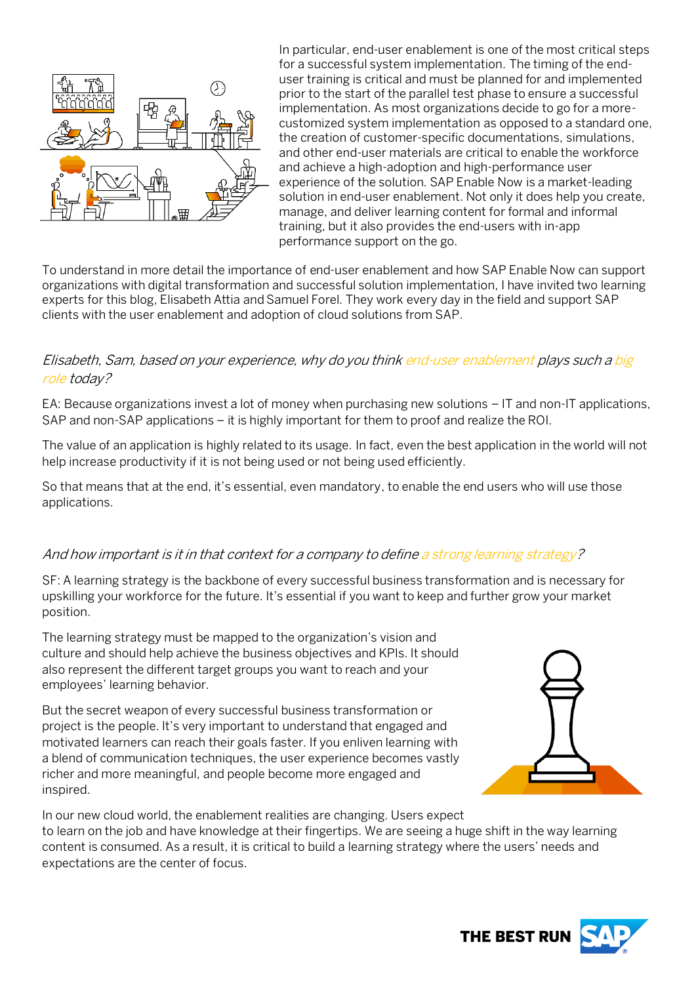

In particular, end-user enablement is one of the most critical steps for a successful system implementation. The timing of the enduser training is critical and must be planned for and implemented prior to the start of the parallel test phase to ensure a successful implementation. As most organizations decide to go for a morecustomized system implementation as opposed to a standard one, the creation of customer-specific documentations, simulations, and other end-user materials are critical to enable the workforce and achieve a high-adoption and high-performance user experience of the solution. SAP Enable Now is a market-leading solution in end-user enablement. Not only it does help you create, manage, and deliver learning content for formal and informal training, but it also provides the end-users with in-app performance support on the go.

To understand in more detail the importance of end-user enablement and how SAP Enable Now can support organizations with digital transformation and successful solution implementation, I have invited two learning experts for this blog, Elisabeth Attia and Samuel Forel. They work every day in the field and support SAP clients with the user enablement and adoption of cloud solutions from SAP.

#### Elisabeth, Sam, based on your experience, why do you think end-user enablement plays such a big role today?

EA: Because organizations invest a lot of money when purchasing new solutions – IT and non-IT applications, SAP and non-SAP applications – it is highly important for them to proof and realize the ROI.

The value of an application is highly related to its usage. In fact, even the best application in the world will not help increase productivity if it is not being used or not being used efficiently.

So that means that at the end, it's essential, even mandatory, to enable the end users who will use those applications.

#### And how important is it in that context for a company to define a strong learning strategy?

SF: A learning strategy is the backbone of every successful business transformation and is necessary for upskilling your workforce for the future. It's essential if you want to keep and further grow your market position.

The learning strategy must be mapped to the organization's vision and culture and should help achieve the business objectives and KPIs. It should also represent the different target groups you want to reach and your employees' learning behavior.

But the secret weapon of every successful business transformation or project is the people. It's very important to understand that engaged and motivated learners can reach their goals faster. If you enliven learning with a blend of communication techniques, the user experience becomes vastly richer and more meaningful, and people become more engaged and inspired.



In our new cloud world, the enablement realities are changing. Users expect to learn on the job and have knowledge at their fingertips. We are seeing a huge shift in the way learning content is consumed. As a result, it is critical to build a learning strategy where the users' needs and expectations are the center of focus.

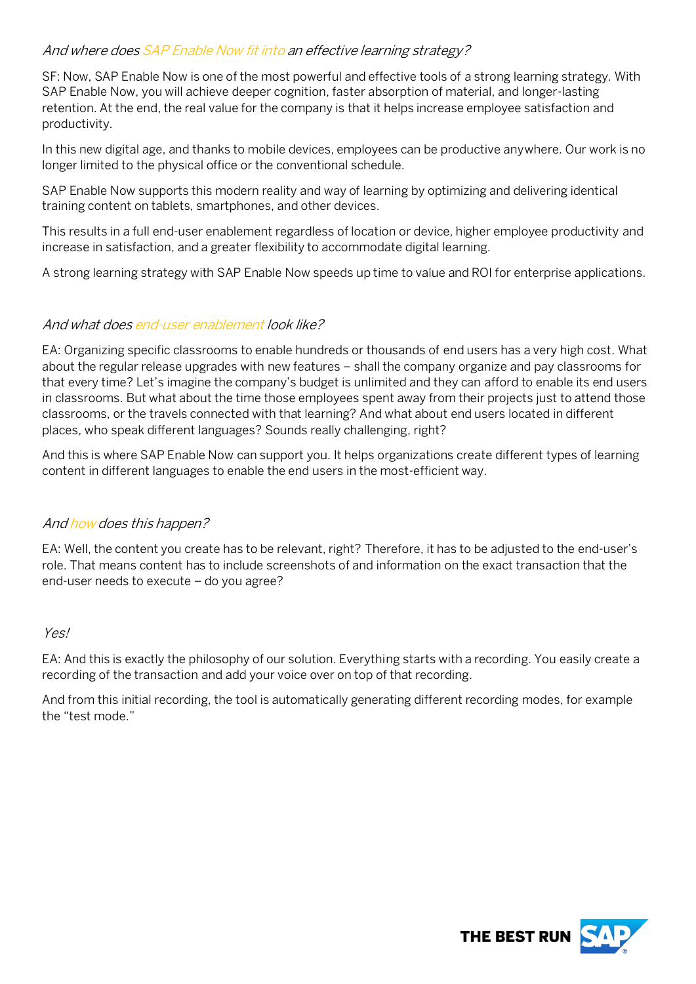#### And where does SAP Enable Now fit into an effective learning strategy?

SF: Now, SAP Enable Now is one of the most powerful and effective tools of a strong learning strategy. With SAP Enable Now, you will achieve deeper cognition, faster absorption of material, and longer-lasting retention. At the end, the real value for the company is that it helps increase employee satisfaction and productivity.

In this new digital age, and thanks to mobile devices, employees can be productive anywhere. Our work is no longer limited to the physical office or the conventional schedule.

SAP Enable Now supports this modern reality and way of learning by optimizing and delivering identical training content on tablets, smartphones, and other devices.

This results in a full end-user enablement regardless of location or device, higher employee productivity and increase in satisfaction, and a greater flexibility to accommodate digital learning.

A strong learning strategy with SAP Enable Now speeds up time to value and ROI for enterprise applications.

#### And what does end-user enablement look like?

EA: Organizing specific classrooms to enable hundreds or thousands of end users has a very high cost. What about the regular release upgrades with new features – shall the company organize and pay classrooms for that every time? Let's imagine the company's budget is unlimited and they can afford to enable its end users in classrooms. But what about the time those employees spent away from their projects just to attend those classrooms, or the travels connected with that learning? And what about end users located in different places, who speak different languages? Sounds really challenging, right?

And this is where SAP Enable Now can support you. It helps organizations create different types of learning content in different languages to enable the end users in the most-efficient way.

#### And how does this happen?

EA: Well, the content you create has to be relevant, right? Therefore, it has to be adjusted to the end-user's role. That means content has to include screenshots of and information on the exact transaction that the end-user needs to execute – do you agree?

#### Yes!

EA: And this is exactly the philosophy of our solution. Everything starts with a recording. You easily create a recording of the transaction and add your voice over on top of that recording.

And from this initial recording, the tool is automatically generating different recording modes, for example the "test mode."

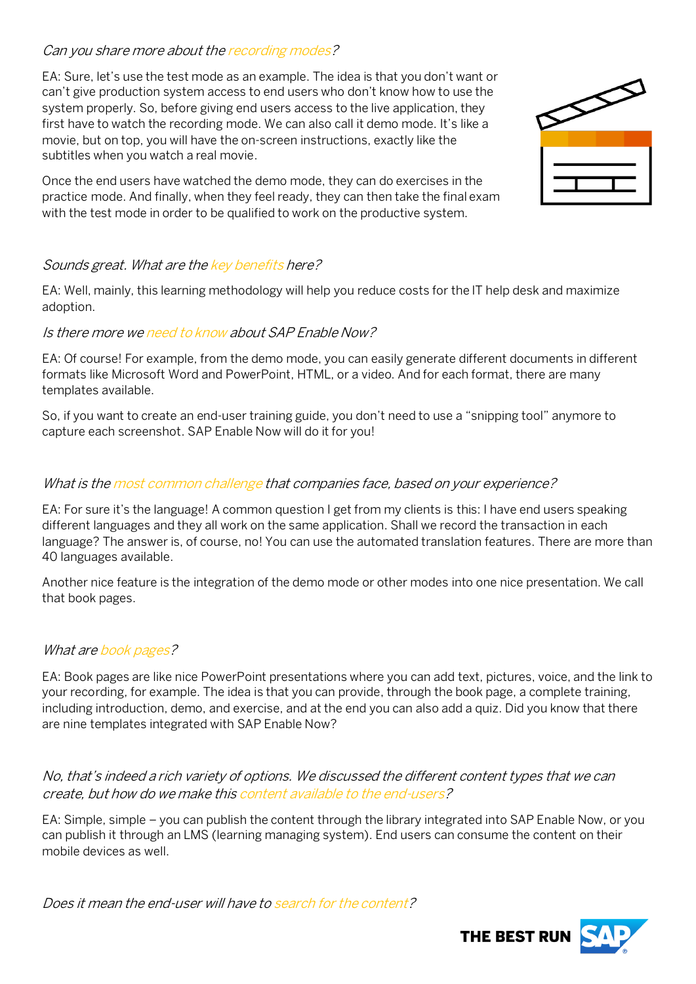#### Can you share more about the recording modes?

EA: Sure, let's use the test mode as an example. The idea is that you don't want or can't give production system access to end users who don't know how to use the system properly. So, before giving end users access to the live application, they first have to watch the recording mode. We can also call it demo mode. It's like a movie, but on top, you will have the on-screen instructions, exactly like the subtitles when you watch a real movie.

Once the end users have watched the demo mode, they can do exercises in the practice mode. And finally, when they feel ready, they can then take the final exam with the test mode in order to be qualified to work on the productive system.



#### Sounds great. What are the key benefits here?

EA: Well, mainly, this learning methodology will help you reduce costs for the IT help desk and maximize adoption.

#### Is there more we need to know about SAP Enable Now?

EA: Of course! For example, from the demo mode, you can easily generate different documents in different formats like Microsoft Word and PowerPoint, HTML, or a video. And for each format, there are many templates available.

So, if you want to create an end-user training guide, you don't need to use a "snipping tool" anymore to capture each screenshot. SAP Enable Now will do it for you!

#### What is the most common challenge that companies face, based on your experience?

EA: For sure it's the language! A common question I get from my clients is this: I have end users speaking different languages and they all work on the same application. Shall we record the transaction in each language? The answer is, of course, no! You can use the automated translation features. There are more than 40 languages available.

Another nice feature is the integration of the demo mode or other modes into one nice presentation. We call that book pages.

#### What are book pages?

EA: Book pages are like nice PowerPoint presentations where you can add text, pictures, voice, and the link to your recording, for example. The idea is that you can provide, through the book page, a complete training, including introduction, demo, and exercise, and at the end you can also add a quiz. Did you know that there are nine templates integrated with SAP Enable Now?

No, that's indeed a rich variety of options. We discussed the different content types that we can create, but how do we make this content available to the end-users?

EA: Simple, simple – you can publish the content through the library integrated into SAP Enable Now, or you can publish it through an LMS (learning managing system). End users can consume the content on their mobile devices as well.

Does it mean the end-user will have to search for the content?

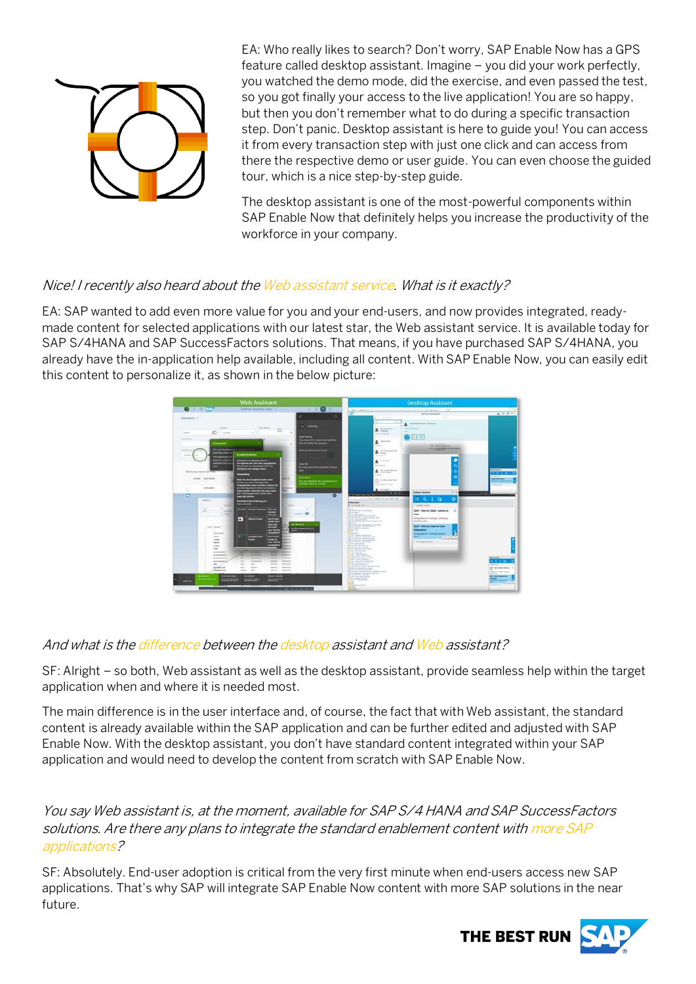

EA: Who really likes to search? Don't worry, SAP Enable Now has a GPS feature called desktop assistant. Imagine – you did your work perfectly, you watched the demo mode, did the exercise, and even passed the test, so you got finally your access to the live application! You are so happy, but then you don't remember what to do during a specific transaction step. Don't panic. Desktop assistant is here to guide you! You can access it from every transaction step with just one click and can access from there the respective demo or user guide. You can even choose the guided tour, which is a nice step-by-step guide.

The desktop assistant is one of the most-powerful components within SAP Enable Now that definitely helps you increase the productivity of the workforce in your company.

#### Nice! I recently also heard about the Web assistant service. What is it exactly?

EA: SAP wanted to add even more value for you and your end-users, and now provides integrated, readymade content for selected applications with our latest star, the Web assistant service. It is available today for SAP S/4HANA and SAP SuccessFactors solutions. That means, if you have purchased SAP S/4HANA, you already have the in-application help available, including all content. With SAP Enable Now, you can easily edit this content to personalize it, as shown in the below picture:



#### And what is the difference between the desktop assistant and Web assistant?

SF: Alright – so both, Web assistant as well as the desktop assistant, provide seamless help within the target application when and where it is needed most.

The main difference is in the user interface and, of course, the fact that with Web assistant, the standard content is already available within the SAP application and can be further edited and adjusted with SAP Enable Now. With the desktop assistant, you don't have standard content integrated within your SAP application and would need to develop the content from scratch with SAP Enable Now.

You say Web assistant is, at the moment, available for SAP S/4 HANA and SAP SuccessFactors solutions. Are there any plans to integrate the standard enablement content with more SAP applications?

SF: Absolutely. End-user adoption is critical from the very first minute when end-users access new SAP applications. That's why SAP will integrate SAP Enable Now content with more SAP solutions in the near future.